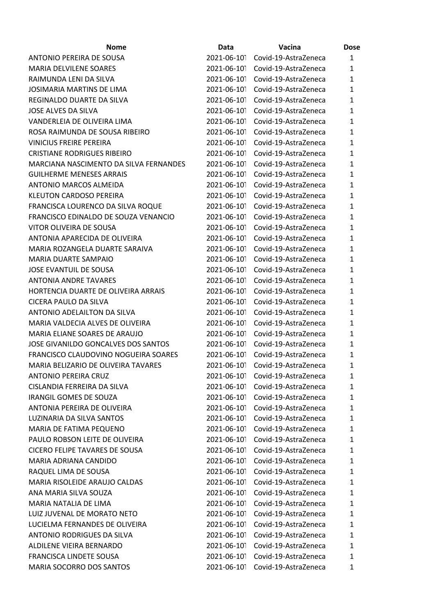| <b>Nome</b>                            | Data        | Vacina                           | <b>Dose</b>  |
|----------------------------------------|-------------|----------------------------------|--------------|
| <b>ANTONIO PEREIRA DE SOUSA</b>        | 2021-06-101 | Covid-19-AstraZeneca             | $\mathbf{1}$ |
| <b>MARIA DELVILENE SOARES</b>          | 2021-06-101 | Covid-19-AstraZeneca             | 1            |
| RAIMUNDA LENI DA SILVA                 | 2021-06-101 | Covid-19-AstraZeneca             | 1            |
| JOSIMARIA MARTINS DE LIMA              | 2021-06-101 | Covid-19-AstraZeneca             | 1            |
| REGINALDO DUARTE DA SILVA              | 2021-06-101 | Covid-19-AstraZeneca             | $\mathbf{1}$ |
| <b>JOSE ALVES DA SILVA</b>             | 2021-06-101 | Covid-19-AstraZeneca             | $\mathbf{1}$ |
| VANDERLEIA DE OLIVEIRA LIMA            | 2021-06-101 | Covid-19-AstraZeneca             | 1            |
| ROSA RAIMUNDA DE SOUSA RIBEIRO         | 2021-06-101 | Covid-19-AstraZeneca             | 1            |
| <b>VINICIUS FREIRE PEREIRA</b>         | 2021-06-101 | Covid-19-AstraZeneca             | 1            |
| <b>CRISTIANE RODRIGUES RIBEIRO</b>     | 2021-06-101 | Covid-19-AstraZeneca             | $\mathbf{1}$ |
| MARCIANA NASCIMENTO DA SILVA FERNANDES | 2021-06-101 | Covid-19-AstraZeneca             | $\mathbf{1}$ |
| <b>GUILHERME MENESES ARRAIS</b>        | 2021-06-101 | Covid-19-AstraZeneca             | $\mathbf{1}$ |
| <b>ANTONIO MARCOS ALMEIDA</b>          | 2021-06-101 | Covid-19-AstraZeneca             | 1            |
| <b>KLEUTON CARDOSO PEREIRA</b>         | 2021-06-101 | Covid-19-AstraZeneca             | 1            |
| FRANCISCA LOURENCO DA SILVA ROQUE      | 2021-06-101 | Covid-19-AstraZeneca             | 1            |
| FRANCISCO EDINALDO DE SOUZA VENANCIO   | 2021-06-101 | Covid-19-AstraZeneca             | $\mathbf{1}$ |
| VITOR OLIVEIRA DE SOUSA                | 2021-06-101 | Covid-19-AstraZeneca             | 1            |
| ANTONIA APARECIDA DE OLIVEIRA          | 2021-06-101 | Covid-19-AstraZeneca             | $\mathbf{1}$ |
| MARIA ROZANGELA DUARTE SARAIVA         | 2021-06-101 | Covid-19-AstraZeneca             | $\mathbf{1}$ |
| <b>MARIA DUARTE SAMPAIO</b>            | 2021-06-101 | Covid-19-AstraZeneca             | 1            |
| JOSE EVANTUIL DE SOUSA                 | 2021-06-101 | Covid-19-AstraZeneca             | 1            |
| <b>ANTONIA ANDRE TAVARES</b>           | 2021-06-101 | Covid-19-AstraZeneca             | $\mathbf{1}$ |
| HORTENCIA DUARTE DE OLIVEIRA ARRAIS    | 2021-06-101 | Covid-19-AstraZeneca             | $\mathbf{1}$ |
| CICERA PAULO DA SILVA                  | 2021-06-101 | Covid-19-AstraZeneca             | $\mathbf{1}$ |
| ANTONIO ADELAILTON DA SILVA            | 2021-06-101 | Covid-19-AstraZeneca             | $\mathbf{1}$ |
| MARIA VALDECIA ALVES DE OLIVEIRA       | 2021-06-101 | Covid-19-AstraZeneca             | $\mathbf{1}$ |
| MARIA ELIANE SOARES DE ARAUJO          | 2021-06-101 | Covid-19-AstraZeneca             | 1            |
| JOSE GIVANILDO GONCALVES DOS SANTOS    | 2021-06-101 | Covid-19-AstraZeneca             | $\mathbf{1}$ |
| FRANCISCO CLAUDOVINO NOGUEIRA SOARES   | 2021-06-101 | Covid-19-AstraZeneca             | 1            |
| MARIA BELIZARIO DE OLIVEIRA TAVARES    | 2021-06-101 | Covid-19-AstraZeneca             | $\mathbf{1}$ |
| <b>ANTONIO PEREIRA CRUZ</b>            | 2021-06-101 | Covid-19-AstraZeneca             | 1            |
| CISLANDIA FERREIRA DA SILVA            | 2021-06-101 | Covid-19-AstraZeneca             | $\mathbf{1}$ |
| IRANGIL GOMES DE SOUZA                 |             | 2021-06-101 Covid-19-AstraZeneca | $\mathbf{1}$ |
| ANTONIA PEREIRA DE OLIVEIRA            | 2021-06-101 | Covid-19-AstraZeneca             | $\mathbf{1}$ |
| LUZINARIA DA SILVA SANTOS              | 2021-06-101 | Covid-19-AstraZeneca             | $\mathbf{1}$ |
| MARIA DE FATIMA PEQUENO                | 2021-06-101 | Covid-19-AstraZeneca             | 1            |
| PAULO ROBSON LEITE DE OLIVEIRA         | 2021-06-101 | Covid-19-AstraZeneca             | $\mathbf{1}$ |
| <b>CICERO FELIPE TAVARES DE SOUSA</b>  |             | 2021-06-101 Covid-19-AstraZeneca | $\mathbf{1}$ |
| MARIA ADRIANA CANDIDO                  | 2021-06-101 | Covid-19-AstraZeneca             | $\mathbf{1}$ |
| RAQUEL LIMA DE SOUSA                   | 2021-06-101 | Covid-19-AstraZeneca             | $\mathbf{1}$ |
| MARIA RISOLEIDE ARAUJO CALDAS          | 2021-06-101 | Covid-19-AstraZeneca             | 1            |
| ANA MARIA SILVA SOUZA                  | 2021-06-101 | Covid-19-AstraZeneca             | $\mathbf{1}$ |
| MARIA NATALIA DE LIMA                  | 2021-06-101 | Covid-19-AstraZeneca             | $\mathbf{1}$ |
| LUIZ JUVENAL DE MORATO NETO            | 2021-06-101 | Covid-19-AstraZeneca             | $\mathbf{1}$ |
| LUCIELMA FERNANDES DE OLIVEIRA         | 2021-06-101 | Covid-19-AstraZeneca             | $\mathbf{1}$ |
| <b>ANTONIO RODRIGUES DA SILVA</b>      | 2021-06-101 | Covid-19-AstraZeneca             | 1            |
| ALDILENE VIEIRA BERNARDO               | 2021-06-101 | Covid-19-AstraZeneca             | $\mathbf{1}$ |
| FRANCISCA LINDETE SOUSA                | 2021-06-101 | Covid-19-AstraZeneca             | $\mathbf{1}$ |
| MARIA SOCORRO DOS SANTOS               | 2021-06-101 | Covid-19-AstraZeneca             | 1            |
|                                        |             |                                  |              |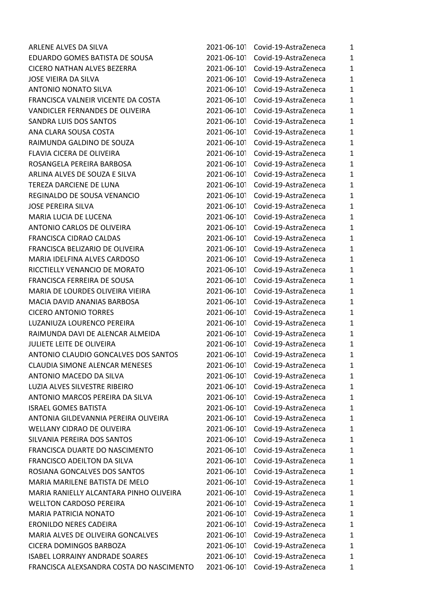| ARLENE ALVES DA SILVA                    | 2021-06-101 | Covid-19-AstraZeneca | $\mathbf{1}$ |
|------------------------------------------|-------------|----------------------|--------------|
| EDUARDO GOMES BATISTA DE SOUSA           | 2021-06-101 | Covid-19-AstraZeneca | $\mathbf{1}$ |
| <b>CICERO NATHAN ALVES BEZERRA</b>       | 2021-06-101 | Covid-19-AstraZeneca | $\mathbf{1}$ |
| JOSE VIEIRA DA SILVA                     | 2021-06-101 | Covid-19-AstraZeneca | $\mathbf{1}$ |
| <b>ANTONIO NONATO SILVA</b>              | 2021-06-101 | Covid-19-AstraZeneca | $\mathbf 1$  |
| FRANCISCA VALNEIR VICENTE DA COSTA       | 2021-06-101 | Covid-19-AstraZeneca | $\mathbf{1}$ |
| VANDICLER FERNANDES DE OLIVEIRA          | 2021-06-101 | Covid-19-AstraZeneca | $\mathbf{1}$ |
| SANDRA LUIS DOS SANTOS                   | 2021-06-101 | Covid-19-AstraZeneca | $\mathbf{1}$ |
| ANA CLARA SOUSA COSTA                    | 2021-06-101 | Covid-19-AstraZeneca | $\mathbf{1}$ |
| RAIMUNDA GALDINO DE SOUZA                | 2021-06-101 | Covid-19-AstraZeneca | $\mathbf{1}$ |
| FLAVIA CICERA DE OLIVEIRA                | 2021-06-101 | Covid-19-AstraZeneca | $\mathbf{1}$ |
| ROSANGELA PEREIRA BARBOSA                | 2021-06-101 | Covid-19-AstraZeneca | $\mathbf{1}$ |
| ARLINA ALVES DE SOUZA E SILVA            | 2021-06-101 | Covid-19-AstraZeneca | $\mathbf{1}$ |
| TEREZA DARCIENE DE LUNA                  | 2021-06-101 | Covid-19-AstraZeneca | $\mathbf{1}$ |
| REGINALDO DE SOUSA VENANCIO              | 2021-06-101 | Covid-19-AstraZeneca | $\mathbf{1}$ |
| <b>JOSE PEREIRA SILVA</b>                | 2021-06-101 | Covid-19-AstraZeneca | $\mathbf{1}$ |
| MARIA LUCIA DE LUCENA                    | 2021-06-101 | Covid-19-AstraZeneca | $\mathbf{1}$ |
| ANTONIO CARLOS DE OLIVEIRA               | 2021-06-101 | Covid-19-AstraZeneca | $\mathbf{1}$ |
| FRANCISCA CIDRAO CALDAS                  | 2021-06-101 | Covid-19-AstraZeneca | $\mathbf{1}$ |
| FRANCISCA BELIZARIO DE OLIVEIRA          | 2021-06-101 | Covid-19-AstraZeneca | $\mathbf{1}$ |
| MARIA IDELFINA ALVES CARDOSO             | 2021-06-101 | Covid-19-AstraZeneca | $\mathbf{1}$ |
| RICCTIELLY VENANCIO DE MORATO            | 2021-06-101 | Covid-19-AstraZeneca | $\mathbf{1}$ |
| FRANCISCA FERREIRA DE SOUSA              | 2021-06-101 | Covid-19-AstraZeneca | $\mathbf{1}$ |
| MARIA DE LOURDES OLIVEIRA VIEIRA         | 2021-06-101 | Covid-19-AstraZeneca | $\mathbf{1}$ |
| MACIA DAVID ANANIAS BARBOSA              | 2021-06-101 | Covid-19-AstraZeneca | $\mathbf{1}$ |
| <b>CICERO ANTONIO TORRES</b>             | 2021-06-101 | Covid-19-AstraZeneca | $\mathbf{1}$ |
| LUZANIUZA LOURENCO PEREIRA               | 2021-06-101 | Covid-19-AstraZeneca | $\mathbf{1}$ |
| RAIMUNDA DAVI DE ALENCAR ALMEIDA         | 2021-06-101 | Covid-19-AstraZeneca | $\mathbf{1}$ |
| JULIETE LEITE DE OLIVEIRA                | 2021-06-101 | Covid-19-AstraZeneca | $\mathbf{1}$ |
| ANTONIO CLAUDIO GONCALVES DOS SANTOS     | 2021-06-101 | Covid-19-AstraZeneca | $\mathbf{1}$ |
| <b>CLAUDIA SIMONE ALENCAR MENESES</b>    | 2021-06-101 | Covid-19-AstraZeneca | $\mathbf{1}$ |
| ANTONIO MACEDO DA SILVA                  | 2021-06-101 | Covid-19-AstraZeneca | $\mathbf{1}$ |
| LUZIA ALVES SILVESTRE RIBEIRO            | 2021-06-101 | Covid-19-AstraZeneca | $\mathbf{1}$ |
| ANTONIO MARCOS PEREIRA DA SILVA          | 2021-06-101 | Covid-19-AstraZeneca | $\mathbf{1}$ |
| <b>ISRAEL GOMES BATISTA</b>              | 2021-06-101 | Covid-19-AstraZeneca | $\mathbf{1}$ |
| ANTONIA GILDEVANNIA PEREIRA OLIVEIRA     | 2021-06-101 | Covid-19-AstraZeneca | $\mathbf 1$  |
| WELLANY CIDRAO DE OLIVEIRA               | 2021-06-101 | Covid-19-AstraZeneca | $\mathbf{1}$ |
| SILVANIA PEREIRA DOS SANTOS              | 2021-06-101 | Covid-19-AstraZeneca | $\mathbf{1}$ |
| FRANCISCA DUARTE DO NASCIMENTO           | 2021-06-101 | Covid-19-AstraZeneca | $\mathbf{1}$ |
| FRANCISCO ADEILTON DA SILVA              | 2021-06-101 | Covid-19-AstraZeneca | $\mathbf{1}$ |
| ROSIANA GONCALVES DOS SANTOS             | 2021-06-101 | Covid-19-AstraZeneca | $\mathbf{1}$ |
| MARIA MARILENE BATISTA DE MELO           | 2021-06-101 | Covid-19-AstraZeneca | $\mathbf{1}$ |
| MARIA RANIELLY ALCANTARA PINHO OLIVEIRA  | 2021-06-101 | Covid-19-AstraZeneca | $\mathbf{1}$ |
| <b>WELLTON CARDOSO PEREIRA</b>           | 2021-06-101 | Covid-19-AstraZeneca | $\mathbf{1}$ |
| <b>MARIA PATRICIA NONATO</b>             | 2021-06-101 | Covid-19-AstraZeneca | $\mathbf{1}$ |
| <b>ERONILDO NERES CADEIRA</b>            | 2021-06-101 | Covid-19-AstraZeneca | $\mathbf{1}$ |
| <b>MARIA ALVES DE OLIVEIRA GONCALVES</b> | 2021-06-101 | Covid-19-AstraZeneca | $\mathbf{1}$ |
| CICERA DOMINGOS BARBOZA                  | 2021-06-101 | Covid-19-AstraZeneca | $\mathbf{1}$ |
| <b>ISABEL LORRAINY ANDRADE SOARES</b>    | 2021-06-101 | Covid-19-AstraZeneca | 1            |
| FRANCISCA ALEXSANDRA COSTA DO NASCIMENTO | 2021-06-101 | Covid-19-AstraZeneca | $\mathbf{1}$ |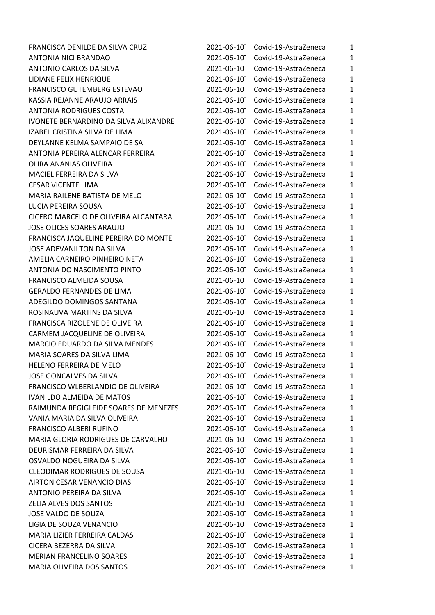| FRANCISCA DENILDE DA SILVA CRUZ       | 2021-06-101 | Covid-19-AstraZeneca | $\mathbf{1}$ |
|---------------------------------------|-------------|----------------------|--------------|
| <b>ANTONIA NICI BRANDAO</b>           | 2021-06-101 | Covid-19-AstraZeneca | $\mathbf{1}$ |
| ANTONIO CARLOS DA SILVA               | 2021-06-101 | Covid-19-AstraZeneca | $\mathbf{1}$ |
| LIDIANE FELIX HENRIQUE                | 2021-06-101 | Covid-19-AstraZeneca | $\mathbf{1}$ |
| FRANCISCO GUTEMBERG ESTEVAO           | 2021-06-101 | Covid-19-AstraZeneca | $\mathbf 1$  |
| KASSIA REJANNE ARAUJO ARRAIS          | 2021-06-101 | Covid-19-AstraZeneca | $\mathbf 1$  |
| <b>ANTONIA RODRIGUES COSTA</b>        | 2021-06-101 | Covid-19-AstraZeneca | $\mathbf{1}$ |
| IVONETE BERNARDINO DA SILVA ALIXANDRE | 2021-06-101 | Covid-19-AstraZeneca | $\mathbf{1}$ |
| IZABEL CRISTINA SILVA DE LIMA         | 2021-06-101 | Covid-19-AstraZeneca | $\mathbf{1}$ |
| DEYLANNE KELMA SAMPAIO DE SA          | 2021-06-101 | Covid-19-AstraZeneca | $\mathbf 1$  |
| ANTONIA PEREIRA ALENCAR FERREIRA      | 2021-06-101 | Covid-19-AstraZeneca | $\mathbf{1}$ |
| OLIRA ANANIAS OLIVEIRA                | 2021-06-101 | Covid-19-AstraZeneca | $\mathbf{1}$ |
| MACIEL FERREIRA DA SILVA              | 2021-06-101 | Covid-19-AstraZeneca | $\mathbf 1$  |
| <b>CESAR VICENTE LIMA</b>             | 2021-06-101 | Covid-19-AstraZeneca | $\mathbf{1}$ |
| MARIA RAILENE BATISTA DE MELO         | 2021-06-101 | Covid-19-AstraZeneca | $\mathbf{1}$ |
| LUCIA PEREIRA SOUSA                   | 2021-06-101 | Covid-19-AstraZeneca | $\mathbf{1}$ |
| CICERO MARCELO DE OLIVEIRA ALCANTARA  | 2021-06-101 | Covid-19-AstraZeneca | $\mathbf{1}$ |
| <b>JOSE OLICES SOARES ARAUJO</b>      | 2021-06-101 | Covid-19-AstraZeneca | $\mathbf 1$  |
| FRANCISCA JAQUELINE PEREIRA DO MONTE  | 2021-06-101 | Covid-19-AstraZeneca | $\mathbf 1$  |
| JOSE ADEVANILTON DA SILVA             | 2021-06-101 | Covid-19-AstraZeneca | $\mathbf{1}$ |
| AMELIA CARNEIRO PINHEIRO NETA         | 2021-06-101 | Covid-19-AstraZeneca | $\mathbf{1}$ |
| ANTONIA DO NASCIMENTO PINTO           | 2021-06-101 | Covid-19-AstraZeneca | $\mathbf{1}$ |
| FRANCISCO ALMEIDA SOUSA               | 2021-06-101 | Covid-19-AstraZeneca | $\mathbf{1}$ |
| <b>GERALDO FERNANDES DE LIMA</b>      | 2021-06-101 | Covid-19-AstraZeneca | $\mathbf 1$  |
| ADEGILDO DOMINGOS SANTANA             | 2021-06-101 | Covid-19-AstraZeneca | $\mathbf 1$  |
| ROSINAUVA MARTINS DA SILVA            | 2021-06-101 | Covid-19-AstraZeneca | $\mathbf{1}$ |
| FRANCISCA RIZOLENE DE OLIVEIRA        | 2021-06-101 | Covid-19-AstraZeneca | $\mathbf{1}$ |
| CARMEM JACQUELINE DE OLIVEIRA         | 2021-06-101 | Covid-19-AstraZeneca | $\mathbf{1}$ |
| MARCIO EDUARDO DA SILVA MENDES        | 2021-06-101 | Covid-19-AstraZeneca | $\mathbf 1$  |
| MARIA SOARES DA SILVA LIMA            | 2021-06-101 | Covid-19-AstraZeneca | $\mathbf{1}$ |
| HELENO FERREIRA DE MELO               | 2021-06-101 | Covid-19-AstraZeneca | $\mathbf{1}$ |
| JOSE GONCALVES DA SILVA               | 2021-06-101 | Covid-19-AstraZeneca | $\mathbf{1}$ |
| FRANCISCO WLBERLANDIO DE OLIVEIRA     | 2021-06-101 | Covid-19-AstraZeneca | $\mathbf{1}$ |
| <b>IVANILDO ALMEIDA DE MATOS</b>      | 2021-06-101 | Covid-19-AstraZeneca | $\mathbf 1$  |
| RAIMUNDA REGIGLEIDE SOARES DE MENEZES | 2021-06-101 | Covid-19-AstraZeneca | $\mathbf 1$  |
| VANIA MARIA DA SILVA OLIVEIRA         | 2021-06-101 | Covid-19-AstraZeneca | $\mathbf 1$  |
| FRANCISCO ALBERI RUFINO               | 2021-06-101 | Covid-19-AstraZeneca | $\mathbf 1$  |
| MARIA GLORIA RODRIGUES DE CARVALHO    | 2021-06-101 | Covid-19-AstraZeneca | $\mathbf{1}$ |
| DEURISMAR FERREIRA DA SILVA           | 2021-06-101 | Covid-19-AstraZeneca | $\mathbf 1$  |
| OSVALDO NOGUEIRA DA SILVA             | 2021-06-101 | Covid-19-AstraZeneca | $\mathbf{1}$ |
| <b>CLEODIMAR RODRIGUES DE SOUSA</b>   | 2021-06-101 | Covid-19-AstraZeneca | $\mathbf{1}$ |
| AIRTON CESAR VENANCIO DIAS            | 2021-06-101 | Covid-19-AstraZeneca | $\mathbf{1}$ |
| ANTONIO PEREIRA DA SILVA              | 2021-06-101 | Covid-19-AstraZeneca | $\mathbf{1}$ |
| ZELIA ALVES DOS SANTOS                | 2021-06-101 | Covid-19-AstraZeneca | $\mathbf 1$  |
| JOSE VALDO DE SOUZA                   | 2021-06-101 | Covid-19-AstraZeneca | $\mathbf{1}$ |
| LIGIA DE SOUZA VENANCIO               | 2021-06-101 | Covid-19-AstraZeneca | $\mathbf{1}$ |
| MARIA LIZIER FERREIRA CALDAS          | 2021-06-101 | Covid-19-AstraZeneca | $\mathbf{1}$ |
| CICERA BEZERRA DA SILVA               | 2021-06-101 | Covid-19-AstraZeneca | $\mathbf 1$  |
| <b>MERIAN FRANCELINO SOARES</b>       | 2021-06-101 | Covid-19-AstraZeneca | $\mathbf{1}$ |
| MARIA OLIVEIRA DOS SANTOS             | 2021-06-101 | Covid-19-AstraZeneca | 1            |